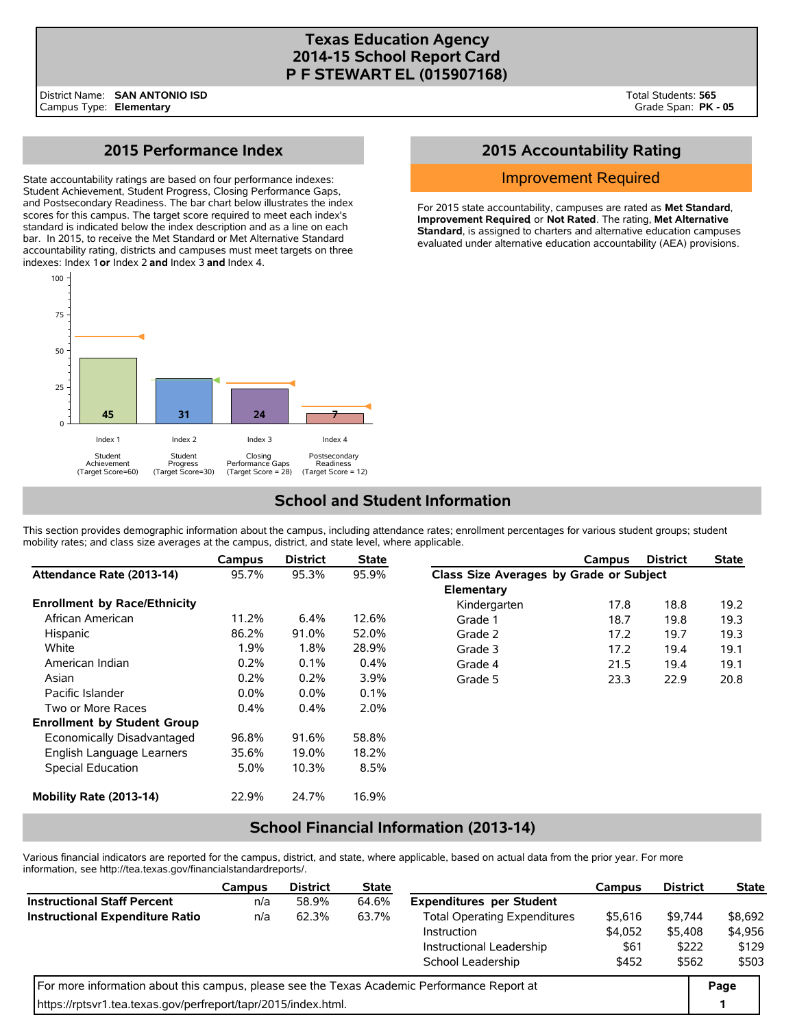# **Texas Education Agency 2014-15 School Report Card P F STEWART EL (015907168)**

# **2015 Performance Index**

State accountability ratings are based on four performance indexes: Student Achievement, Student Progress, Closing Performance Gaps, and Postsecondary Readiness. The bar chart below illustrates the index scores for this campus. The target score required to meet each index's standard is indicated below the index description and as a line on each bar. In 2015, to receive the Met Standard or Met Alternative Standard accountability rating, districts and campuses must meet targets on three indexes: Index 1 **or** Index 2 **and** Index 3 **and** Index 4.



# **2015 Accountability Rating**

#### Improvement Required

For 2015 state accountability, campuses are rated as **Met Standard**, **Improvement Required**, or **Not Rated**. The rating, **Met Alternative Standard**, is assigned to charters and alternative education campuses evaluated under alternative education accountability (AEA) provisions.

# **School and Student Information**

This section provides demographic information about the campus, including attendance rates; enrollment percentages for various student groups; student mobility rates; and class size averages at the campus, district, and state level, where applicable.

|                                     | Campus  | <b>District</b> | <b>State</b> |                                         | Campus | <b>District</b> | <b>State</b> |  |  |  |
|-------------------------------------|---------|-----------------|--------------|-----------------------------------------|--------|-----------------|--------------|--|--|--|
| Attendance Rate (2013-14)           | 95.7%   | 95.3%           | 95.9%        | Class Size Averages by Grade or Subject |        |                 |              |  |  |  |
|                                     |         |                 |              | Elementary                              |        |                 |              |  |  |  |
| <b>Enrollment by Race/Ethnicity</b> |         |                 |              | Kindergarten                            | 17.8   | 18.8            | 19.2         |  |  |  |
| African American                    | 11.2%   | $6.4\%$         | 12.6%        | Grade 1                                 | 18.7   | 19.8            | 19.3         |  |  |  |
| Hispanic                            | 86.2%   | 91.0%           | 52.0%        | Grade 2                                 | 17.2   | 19.7            | 19.3         |  |  |  |
| White                               | 1.9%    | 1.8%            | 28.9%        | Grade 3                                 | 17.2   | 19.4            | 19.1         |  |  |  |
| American Indian                     | 0.2%    | 0.1%            | $0.4\%$      | Grade 4                                 | 21.5   | 19.4            | 19.1         |  |  |  |
| Asian                               | 0.2%    | 0.2%            | 3.9%         | Grade 5                                 | 23.3   | 22.9            | 20.8         |  |  |  |
| Pacific Islander                    | $0.0\%$ | 0.0%            | 0.1%         |                                         |        |                 |              |  |  |  |
| Two or More Races                   | 0.4%    | 0.4%            | 2.0%         |                                         |        |                 |              |  |  |  |
| <b>Enrollment by Student Group</b>  |         |                 |              |                                         |        |                 |              |  |  |  |
| Economically Disadvantaged          | 96.8%   | 91.6%           | 58.8%        |                                         |        |                 |              |  |  |  |
| English Language Learners           | 35.6%   | 19.0%           | 18.2%        |                                         |        |                 |              |  |  |  |
| Special Education                   | 5.0%    | 10.3%           | 8.5%         |                                         |        |                 |              |  |  |  |
| Mobility Rate (2013-14)             | 22.9%   | 24.7%           | 16.9%        |                                         |        |                 |              |  |  |  |

# **School Financial Information (2013-14)**

Various financial indicators are reported for the campus, district, and state, where applicable, based on actual data from the prior year. For more information, see http://tea.texas.gov/financialstandardreports/.

|                                                                                             | Campus | <b>District</b> | <b>State</b> |                                     | Campus  | <b>District</b> | <b>State</b> |
|---------------------------------------------------------------------------------------------|--------|-----------------|--------------|-------------------------------------|---------|-----------------|--------------|
| <b>Instructional Staff Percent</b>                                                          | n/a    | 58.9%           | 64.6%        | <b>Expenditures per Student</b>     |         |                 |              |
| <b>Instructional Expenditure Ratio</b>                                                      | n/a    | 62.3%           | 63.7%        | <b>Total Operating Expenditures</b> | \$5,616 | \$9.744         | \$8,692      |
|                                                                                             |        |                 |              | Instruction                         | \$4.052 | \$5.408         | \$4,956      |
|                                                                                             |        |                 |              | Instructional Leadership            | \$61    | \$222           | \$129        |
|                                                                                             |        |                 |              | School Leadership                   | \$452   | \$562           | \$503        |
| For more information about this campus, please see the Texas Academic Performance Report at |        |                 |              |                                     |         |                 |              |
| https://rptsvr1.tea.texas.gov/perfreport/tapr/2015/index.html.                              |        |                 |              |                                     |         |                 | 1            |